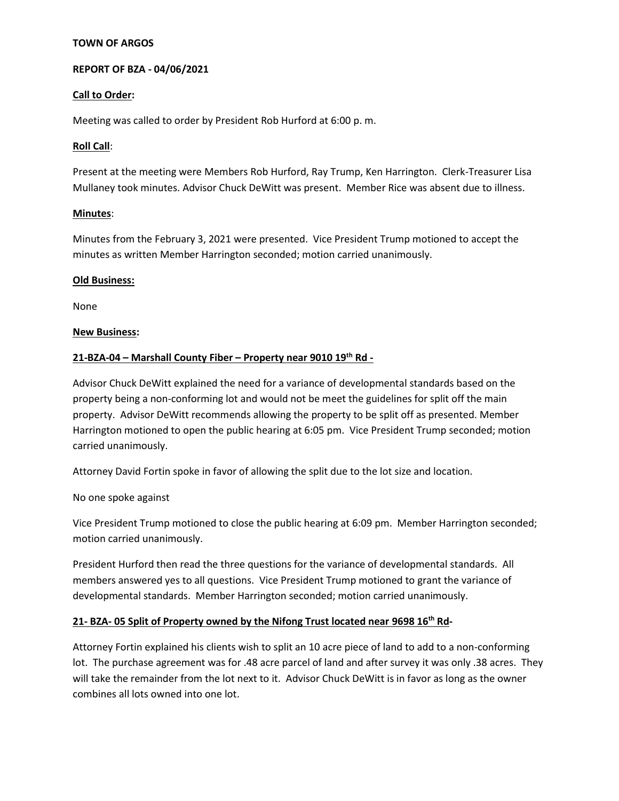#### **TOWN OF ARGOS**

#### **REPORT OF BZA - 04/06/2021**

#### **Call to Order:**

Meeting was called to order by President Rob Hurford at 6:00 p. m.

#### **Roll Call**:

Present at the meeting were Members Rob Hurford, Ray Trump, Ken Harrington. Clerk-Treasurer Lisa Mullaney took minutes. Advisor Chuck DeWitt was present. Member Rice was absent due to illness.

#### **Minutes**:

Minutes from the February 3, 2021 were presented. Vice President Trump motioned to accept the minutes as written Member Harrington seconded; motion carried unanimously.

#### **Old Business:**

None

#### **New Business:**

#### **21-BZA-04 – Marshall County Fiber – Property near 9010 19th Rd -**

Advisor Chuck DeWitt explained the need for a variance of developmental standards based on the property being a non-conforming lot and would not be meet the guidelines for split off the main property. Advisor DeWitt recommends allowing the property to be split off as presented. Member Harrington motioned to open the public hearing at 6:05 pm. Vice President Trump seconded; motion carried unanimously.

Attorney David Fortin spoke in favor of allowing the split due to the lot size and location.

No one spoke against

Vice President Trump motioned to close the public hearing at 6:09 pm. Member Harrington seconded; motion carried unanimously.

President Hurford then read the three questions for the variance of developmental standards. All members answered yes to all questions. Vice President Trump motioned to grant the variance of developmental standards. Member Harrington seconded; motion carried unanimously.

## **21- BZA- 05 Split of Property owned by the Nifong Trust located near 9698 16 th Rd-**

Attorney Fortin explained his clients wish to split an 10 acre piece of land to add to a non-conforming lot. The purchase agreement was for .48 acre parcel of land and after survey it was only .38 acres. They will take the remainder from the lot next to it. Advisor Chuck DeWitt is in favor as long as the owner combines all lots owned into one lot.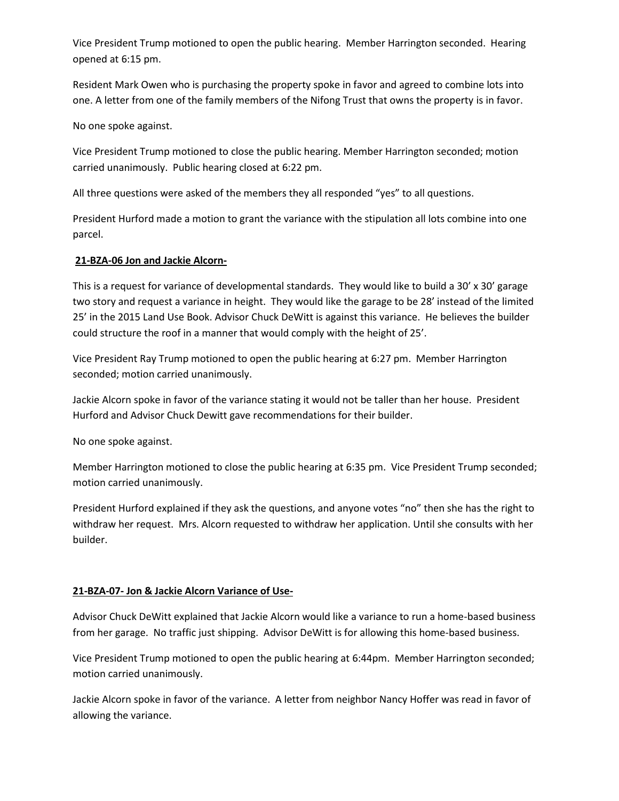Vice President Trump motioned to open the public hearing. Member Harrington seconded. Hearing opened at 6:15 pm.

Resident Mark Owen who is purchasing the property spoke in favor and agreed to combine lots into one. A letter from one of the family members of the Nifong Trust that owns the property is in favor.

No one spoke against.

Vice President Trump motioned to close the public hearing. Member Harrington seconded; motion carried unanimously. Public hearing closed at 6:22 pm.

All three questions were asked of the members they all responded "yes" to all questions.

President Hurford made a motion to grant the variance with the stipulation all lots combine into one parcel.

## **21-BZA-06 Jon and Jackie Alcorn-**

This is a request for variance of developmental standards. They would like to build a 30' x 30' garage two story and request a variance in height. They would like the garage to be 28' instead of the limited 25' in the 2015 Land Use Book. Advisor Chuck DeWitt is against this variance. He believes the builder could structure the roof in a manner that would comply with the height of 25'.

Vice President Ray Trump motioned to open the public hearing at 6:27 pm. Member Harrington seconded; motion carried unanimously.

Jackie Alcorn spoke in favor of the variance stating it would not be taller than her house. President Hurford and Advisor Chuck Dewitt gave recommendations for their builder.

No one spoke against.

Member Harrington motioned to close the public hearing at 6:35 pm. Vice President Trump seconded; motion carried unanimously.

President Hurford explained if they ask the questions, and anyone votes "no" then she has the right to withdraw her request. Mrs. Alcorn requested to withdraw her application. Until she consults with her builder.

## **21-BZA-07- Jon & Jackie Alcorn Variance of Use-**

Advisor Chuck DeWitt explained that Jackie Alcorn would like a variance to run a home-based business from her garage. No traffic just shipping. Advisor DeWitt is for allowing this home-based business.

Vice President Trump motioned to open the public hearing at 6:44pm. Member Harrington seconded; motion carried unanimously.

Jackie Alcorn spoke in favor of the variance. A letter from neighbor Nancy Hoffer was read in favor of allowing the variance.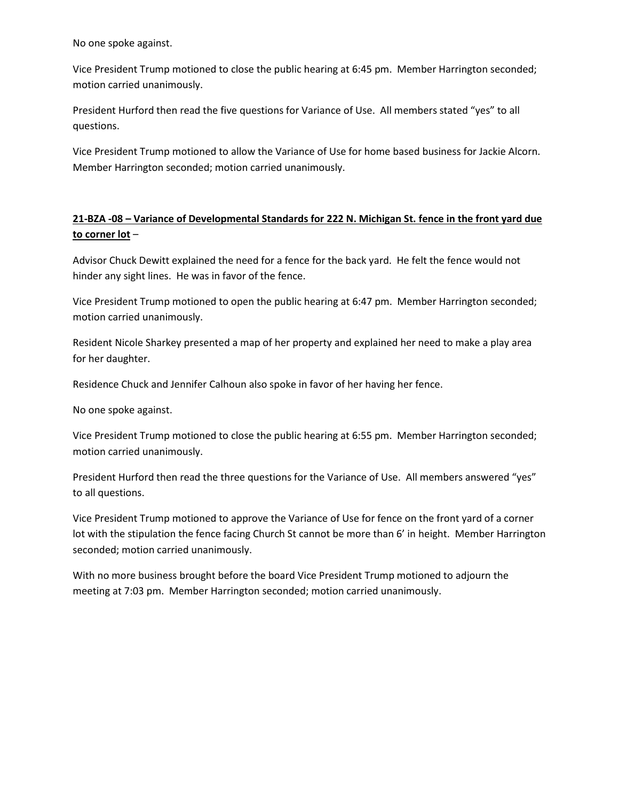No one spoke against.

Vice President Trump motioned to close the public hearing at 6:45 pm. Member Harrington seconded; motion carried unanimously.

President Hurford then read the five questions for Variance of Use. All members stated "yes" to all questions.

Vice President Trump motioned to allow the Variance of Use for home based business for Jackie Alcorn. Member Harrington seconded; motion carried unanimously.

## **21-BZA -08 – Variance of Developmental Standards for 222 N. Michigan St. fence in the front yard due to corner lot** –

Advisor Chuck Dewitt explained the need for a fence for the back yard. He felt the fence would not hinder any sight lines. He was in favor of the fence.

Vice President Trump motioned to open the public hearing at 6:47 pm. Member Harrington seconded; motion carried unanimously.

Resident Nicole Sharkey presented a map of her property and explained her need to make a play area for her daughter.

Residence Chuck and Jennifer Calhoun also spoke in favor of her having her fence.

No one spoke against.

Vice President Trump motioned to close the public hearing at 6:55 pm. Member Harrington seconded; motion carried unanimously.

President Hurford then read the three questions for the Variance of Use. All members answered "yes" to all questions.

Vice President Trump motioned to approve the Variance of Use for fence on the front yard of a corner lot with the stipulation the fence facing Church St cannot be more than 6' in height. Member Harrington seconded; motion carried unanimously.

With no more business brought before the board Vice President Trump motioned to adjourn the meeting at 7:03 pm. Member Harrington seconded; motion carried unanimously.